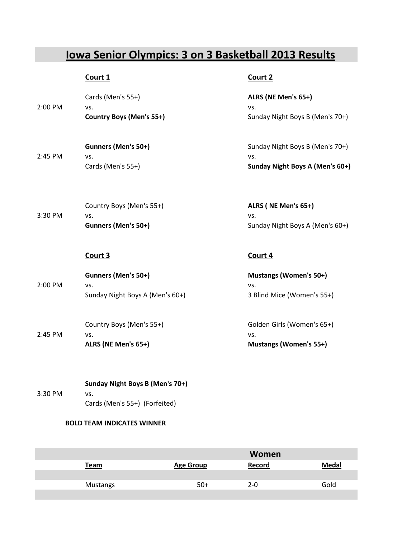# **Iowa Senior Olympics: 3 on 3 Basketball 2013 Results**

## **Court 1 Court 2**

|                   | Cards (Men's $55+$ )     | ALRS (NE Men's 65+)             |  |  |
|-------------------|--------------------------|---------------------------------|--|--|
| $2:00 \text{ PM}$ | VS.                      | VS.                             |  |  |
|                   | Country Boys (Men's 55+) | Sunday Night Boys B (Men's 70+) |  |  |

2:45 PM vs. VS.

Cards (Men's 55+) **Sunday Night Boys A (Men's 60+) Gunners (Men's 50+)** Sunday Night Boys B (Men's 70+)

|           | Country Boys (Men's 55+) | ALRS (NE Men's 65+)             |  |  |
|-----------|--------------------------|---------------------------------|--|--|
| $3:30$ PM | vs.                      | vs.                             |  |  |
|           | Gunners (Men's 50+)      | Sunday Night Boys A (Men's 60+) |  |  |

### **Court 3 Court 4**

|         | Gunners (Men's 50+)             | <b>Mustangs (Women's 50+)</b> |
|---------|---------------------------------|-------------------------------|
| 2:00 PM | vs.                             | vs.                           |
|         | Sunday Night Boys A (Men's 60+) | 3 Blind Mice (Women's 55+)    |

2:45 PM Country Boys (Men's 55+) Golden Girls (Women's 65+) vs. VS.

**ALRS (NE Men's 65+) Mustangs (Women's 55+)**

|         | Sunday Night Boys B (Men's 70+) |  |  |
|---------|---------------------------------|--|--|
| 3:30 PM | vs.                             |  |  |
|         | Cards (Men's 55+) (Forfeited)   |  |  |

### **BOLD TEAM INDICATES WINNER**

|             |                  | Women   |              |
|-------------|------------------|---------|--------------|
| <u>Team</u> | <b>Age Group</b> | Record  | <b>Medal</b> |
|             |                  |         |              |
| Mustangs    | $50+$            | $2 - 0$ | Gold         |
|             |                  |         |              |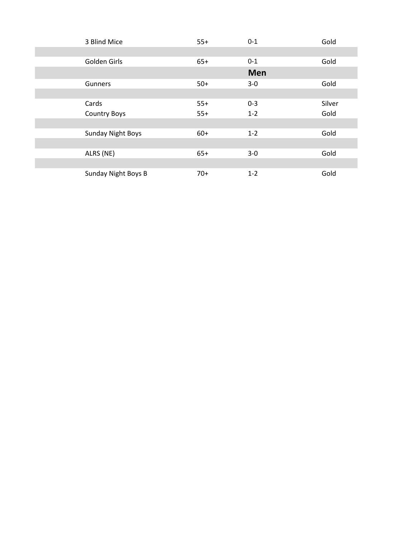| 3 Blind Mice             | $55+$ | $0 - 1$    | Gold   |
|--------------------------|-------|------------|--------|
|                          |       |            |        |
| Golden Girls             | $65+$ | $0 - 1$    | Gold   |
|                          |       | <b>Men</b> |        |
| Gunners                  | $50+$ | $3 - 0$    | Gold   |
|                          |       |            |        |
| Cards                    | $55+$ | $0 - 3$    | Silver |
| <b>Country Boys</b>      | $55+$ | $1 - 2$    | Gold   |
|                          |       |            |        |
| <b>Sunday Night Boys</b> | $60+$ | $1 - 2$    | Gold   |
|                          |       |            |        |
| ALRS (NE)                | $65+$ | $3 - 0$    | Gold   |
|                          |       |            |        |
| Sunday Night Boys B      | $70+$ | $1 - 2$    | Gold   |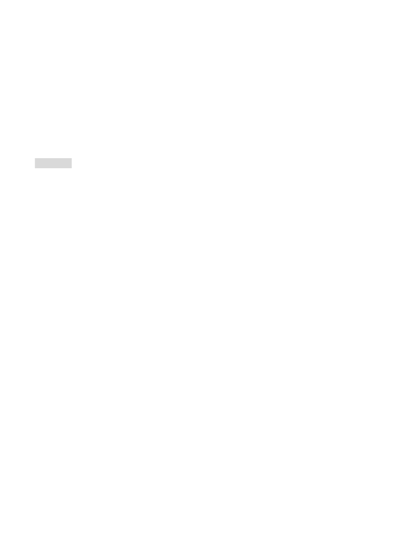$\mathcal{L}^{\text{max}}_{\text{max}}$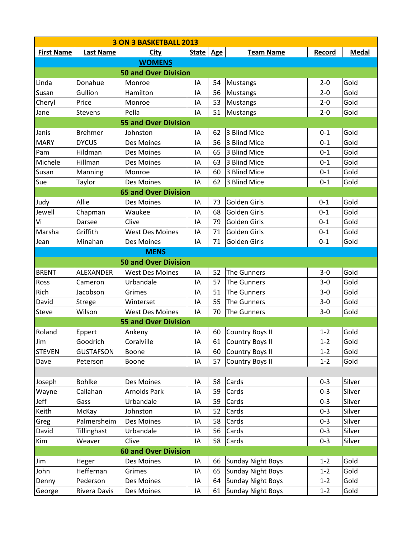| <b>3 ON 3 BASKETBALL 2013</b> |                  |                             |           |    |                        |         |              |  |
|-------------------------------|------------------|-----------------------------|-----------|----|------------------------|---------|--------------|--|
| <b>First Name</b>             | <b>Last Name</b> | <b>City</b>                 | State Age |    | <b>Team Name</b>       | Record  | <b>Medal</b> |  |
|                               |                  | <b>WOMENS</b>               |           |    |                        |         |              |  |
| <b>50 and Over Division</b>   |                  |                             |           |    |                        |         |              |  |
| Linda                         | Donahue          | Monroe                      | IA        | 54 | Mustangs               | $2 - 0$ | Gold         |  |
| Susan                         | Gullion          | Hamilton                    | IA        | 56 | Mustangs               | $2 - 0$ | Gold         |  |
| Cheryl                        | Price            | Monroe                      | IA        | 53 | Mustangs               | $2 - 0$ | Gold         |  |
| Jane                          | Stevens          | Pella                       | IA        | 51 | Mustangs               | $2 - 0$ | Gold         |  |
|                               |                  | <b>55 and Over Division</b> |           |    |                        |         |              |  |
| Janis                         | <b>Brehmer</b>   | Johnston                    | IA        | 62 | 3 Blind Mice           | $0 - 1$ | Gold         |  |
| <b>MARY</b>                   | <b>DYCUS</b>     | Des Moines                  | IA        | 56 | 3 Blind Mice           | $0 - 1$ | Gold         |  |
| Pam                           | Hildman          | Des Moines                  | IA        | 65 | 3 Blind Mice           | $0 - 1$ | Gold         |  |
| Michele                       | Hillman          | Des Moines                  | IA        | 63 | 3 Blind Mice           | $0 - 1$ | Gold         |  |
| Susan                         | Manning          | Monroe                      | IA        | 60 | 3 Blind Mice           | $0 - 1$ | Gold         |  |
| Sue                           | Taylor           | Des Moines                  | IA        | 62 | 3 Blind Mice           | $0 - 1$ | Gold         |  |
|                               |                  | <b>65 and Over Division</b> |           |    |                        |         |              |  |
| Judy                          | Allie            | Des Moines                  | IA        | 73 | Golden Girls           | $0 - 1$ | Gold         |  |
| Jewell                        | Chapman          | Waukee                      | IA        | 68 | Golden Girls           | $0 - 1$ | Gold         |  |
| Vi                            | Darsee           | Clive                       | IA        | 79 | Golden Girls           | $0 - 1$ | Gold         |  |
| Marsha                        | Griffith         | <b>West Des Moines</b>      | IA        | 71 | Golden Girls           | $0 - 1$ | Gold         |  |
| Jean                          | Minahan          | Des Moines                  | IA        | 71 | Golden Girls           | $0 - 1$ | Gold         |  |
|                               |                  | <b>MENS</b>                 |           |    |                        |         |              |  |
|                               |                  | <b>50 and Over Division</b> |           |    |                        |         |              |  |
| <b>BRENT</b>                  | ALEXANDER        | <b>West Des Moines</b>      | IA        | 52 | The Gunners            | $3 - 0$ | Gold         |  |
| Ross                          | Cameron          | Urbandale                   | IA        | 57 | The Gunners            | $3 - 0$ | Gold         |  |
| Rich                          | Jacobson         | Grimes                      | IA        | 51 | <b>The Gunners</b>     | $3 - 0$ | Gold         |  |
| David                         | <b>Strege</b>    | Winterset                   | IA        | 55 | The Gunners            | $3 - 0$ | Gold         |  |
| <b>Steve</b>                  | Wilson           | <b>West Des Moines</b>      | IA        | 70 | The Gunners            | $3 - 0$ | Gold         |  |
|                               |                  | <b>55 and Over Division</b> |           |    |                        |         |              |  |
| Roland                        | Eppert           | Ankeny                      | IA        |    | 60 Country Boys II     | $1 - 2$ | Gold         |  |
| Jim                           | Goodrich         | Coralville                  | IA        |    | 61 Country Boys II     | $1 - 2$ | Gold         |  |
| <b>STEVEN</b>                 | <b>GUSTAFSON</b> | Boone                       | IA        | 60 | <b>Country Boys II</b> | $1 - 2$ | Gold         |  |
| Dave                          | Peterson         | Boone                       | ΙA        | 57 | <b>Country Boys II</b> | $1 - 2$ | Gold         |  |
|                               |                  |                             |           |    |                        |         |              |  |
| Joseph                        | <b>Bohlke</b>    | Des Moines                  | IA        | 58 | Cards                  | $0 - 3$ | Silver       |  |
| Wayne                         | Callahan         | <b>Arnolds Park</b>         | IA        | 59 | Cards                  | $0 - 3$ | Silver       |  |
| Jeff                          | Gass             | Urbandale                   | IA        | 59 | Cards                  | $0 - 3$ | Silver       |  |
| Keith                         | McKay            | Johnston                    | IA        | 52 | Cards                  | $0 - 3$ | Silver       |  |
| Greg                          | Palmersheim      | Des Moines                  | IA        | 58 | Cards                  | $0 - 3$ | Silver       |  |
| David                         | Tillinghast      | Urbandale                   | IA        | 56 | Cards                  | $0 - 3$ | Silver       |  |
| Kim                           | Weaver           | Clive                       | IA        | 58 | Cards                  | $0 - 3$ | Silver       |  |
| <b>60 and Over Division</b>   |                  |                             |           |    |                        |         |              |  |
| Jim                           | Heger            | Des Moines                  | ΙA        | 66 | Sunday Night Boys      | $1 - 2$ | Gold         |  |
| John                          | Heffernan        | Grimes                      | IA        | 65 | Sunday Night Boys      | $1 - 2$ | Gold         |  |
| Denny                         | Pederson         | Des Moines                  | IA        | 64 | Sunday Night Boys      | $1 - 2$ | Gold         |  |
| George                        | Rivera Davis     | Des Moines                  | IA        | 61 | Sunday Night Boys      | $1 - 2$ | Gold         |  |